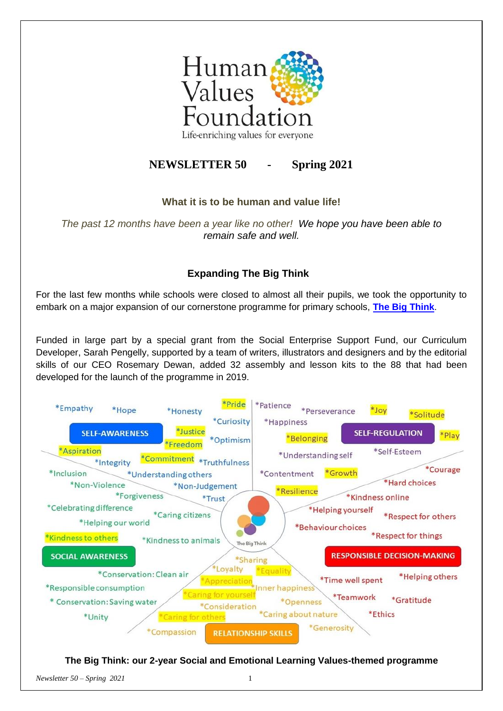

# **NEWSLETTER 50 - Spring 2021**

## **What it is to be human and value life!**

*The past 12 months have been a year like no other! We hope you have been able to remain safe and well.*

# **Expanding The Big Think**

For the last few months while schools were closed to almost all their pupils, we took the opportunity to embark on a major expansion of our cornerstone programme for primary schools, **[The Big Think](https://www.the-big-think.org/)**.

Funded in large part by a special grant from the Social Enterprise Support Fund, our Curriculum Developer, Sarah Pengelly, supported by a team of writers, illustrators and designers and by the editorial skills of our CEO Rosemary Dewan, added 32 assembly and lesson kits to the 88 that had been developed for the launch of the programme in 2019.



**The Big Think: our 2-year Social and Emotional Learning Values-themed programme**

*Newsletter 50 – Spring 2021* 1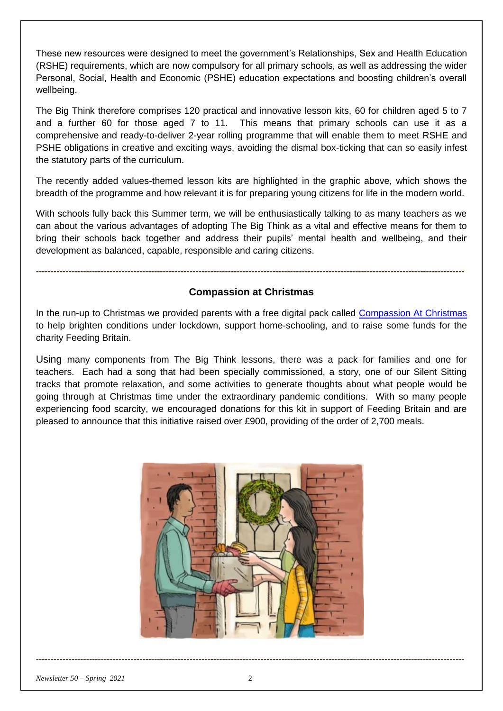These new resources were designed to meet the government's Relationships, Sex and Health Education (RSHE) requirements, which are now compulsory for all primary schools, as well as addressing the wider Personal, Social, Health and Economic (PSHE) education expectations and boosting children's overall wellbeing.

The Big Think therefore comprises 120 practical and innovative lesson kits, 60 for children aged 5 to 7 and a further 60 for those aged 7 to 11. This means that primary schools can use it as a comprehensive and ready-to-deliver 2-year rolling programme that will enable them to meet RSHE and PSHE obligations in creative and exciting ways, avoiding the dismal box-ticking that can so easily infest the statutory parts of the curriculum.

The recently added values-themed lesson kits are highlighted in the graphic above, which shows the breadth of the programme and how relevant it is for preparing young citizens for life in the modern world.

With schools fully back this Summer term, we will be enthusiastically talking to as many teachers as we can about the various advantages of adopting The Big Think as a vital and effective means for them to bring their schools back together and address their pupils' mental health and wellbeing, and their development as balanced, capable, responsible and caring citizens.

### **Compassion at Christmas**

**-------------------------------------------------------------------------------------------------------------------------------------------------**

In the run-up to Christmas we provided parents with a free digital pack called [Compassion At Christmas](https://www.the-big-think.org/compassion-at-christmas-pack) to help brighten conditions under lockdown, support home-schooling, and to raise some funds for the charity Feeding Britain.

Using many components from The Big Think lessons, there was a pack for families and one for teachers. Each had a song that had been specially commissioned, a story, one of our Silent Sitting tracks that promote relaxation, and some activities to generate thoughts about what people would be going through at Christmas time under the extraordinary pandemic conditions. With so many people experiencing food scarcity, we encouraged donations for this kit in support of Feeding Britain and are pleased to announce that this initiative raised over £900, providing of the order of 2,700 meals.



**-------------------------------------------------------------------------------------------------------------------------------------------------**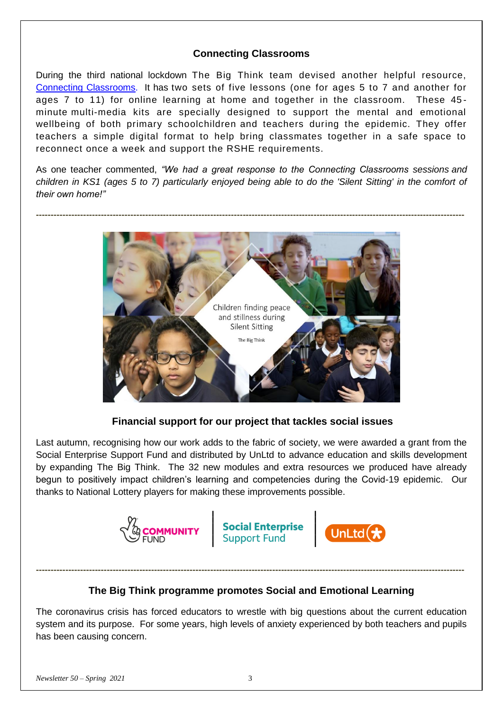### **Connecting Classrooms**

During the third national lockdown The Big Think team devised another helpful resource, [Connecting Classrooms.](https://www.the-big-think.org/learning-packs/connecting-classrooms-series-values-wellbeing) It has two sets of five lessons (one for ages 5 to 7 and another for ages 7 to 11) for online learning at home and together in the classroom. These 45 minute multi-media kits are specially designed to support the mental and emotional wellbeing of both primary schoolchildren and teachers during the epidemic. They offer teachers a simple digital format to help bring classmates together in a safe space to reconnect once a week and support the RSHE requirements.

As one teacher commented, *"We had a great response to the Connecting Classrooms sessions and children in KS1 (ages 5 to 7) particularly enjoyed being able to do the 'Silent Sitting' in the comfort of their own home!"*



#### **Financial support for our project that tackles social issues**

Last autumn, recognising how our work adds to the fabric of society, we were awarded a grant from the Social Enterprise Support Fund and distributed by UnLtd to advance education and skills development by expanding The Big Think. The 32 new modules and extra resources we produced have already begun to positively impact children's learning and competencies during the Covid-19 epidemic. Our thanks to National Lottery players for making these improvements possible.





#### **The Big Think programme promotes Social and Emotional Learning**

**-------------------------------------------------------------------------------------------------------------------------------------------------**

The coronavirus crisis has forced educators to wrestle with big questions about the current education system and its purpose. For some years, high levels of anxiety experienced by both teachers and pupils has been causing concern.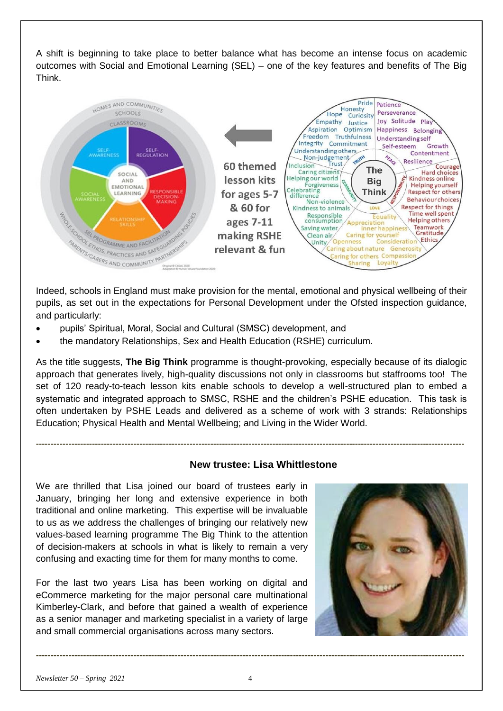A shift is beginning to take place to better balance what has become an intense focus on academic outcomes with Social and Emotional Learning (SEL) – one of the key features and benefits of The Big Think.



Indeed, schools in England must make provision for the mental, emotional and physical wellbeing of their pupils, as set out in the expectations for Personal Development under the Ofsted inspection guidance, and particularly:

- pupils' Spiritual, Moral, Social and Cultural (SMSC) development, and
- the mandatory Relationships, Sex and Health Education (RSHE) curriculum.

As the title suggests, **The Big Think** programme is thought-provoking, especially because of its dialogic approach that generates lively, high-quality discussions not only in classrooms but staffrooms too! The set of 120 ready-to-teach lesson kits enable schools to develop a well-structured plan to embed a systematic and integrated approach to SMSC, RSHE and the children's PSHE education. This task is often undertaken by PSHE Leads and delivered as a scheme of work with 3 strands: Relationships Education; Physical Health and Mental Wellbeing; and Living in the Wider World.

**-------------------------------------------------------------------------------------------------------------------------------------------------**

#### **New trustee: Lisa Whittlestone**

We are thrilled that Lisa joined our board of trustees early in January, bringing her long and extensive experience in both traditional and online marketing. This expertise will be invaluable to us as we address the challenges of bringing our relatively new values-based learning programme The Big Think to the attention of decision-makers at schools in what is likely to remain a very confusing and exacting time for them for many months to come.

For the last two years Lisa has been working on digital and eCommerce marketing for the major personal care multinational Kimberley-Clark, and before that gained a wealth of experience as a senior manager and marketing specialist in a variety of large and small commercial organisations across many sectors.



**-------------------------------------------------------------------------------------------------------------------------------------------------**